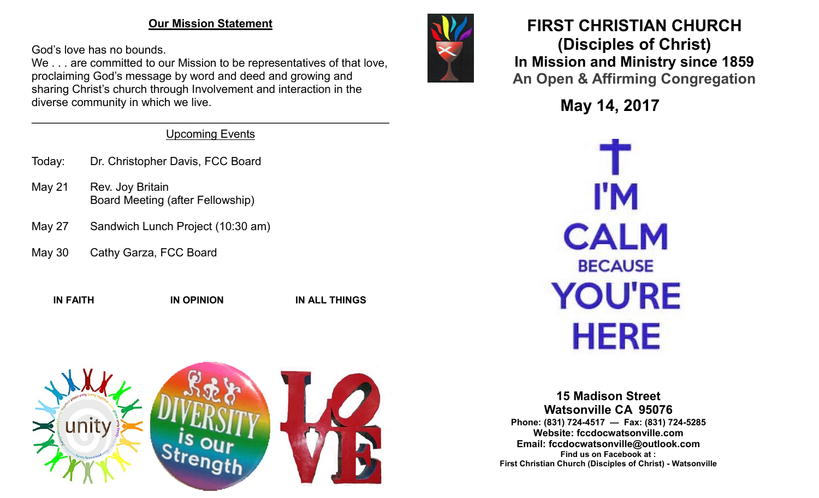### **Our Mission Statement**

God's love has no bounds.

We . . . are committed to our Mission to be representatives of that love, proclaiming God's message by word and deed and growing and sharing Christ's church through Involvement and interaction in the diverse community in which we live.

#### $\mathcal{L}_\mathcal{L} = \mathcal{L}_\mathcal{L} = \mathcal{L}_\mathcal{L} = \mathcal{L}_\mathcal{L} = \mathcal{L}_\mathcal{L} = \mathcal{L}_\mathcal{L} = \mathcal{L}_\mathcal{L} = \mathcal{L}_\mathcal{L} = \mathcal{L}_\mathcal{L} = \mathcal{L}_\mathcal{L} = \mathcal{L}_\mathcal{L} = \mathcal{L}_\mathcal{L} = \mathcal{L}_\mathcal{L} = \mathcal{L}_\mathcal{L} = \mathcal{L}_\mathcal{L} = \mathcal{L}_\mathcal{L} = \mathcal{L}_\mathcal{L}$ Upcoming Events

- Today: Dr. Christopher Davis, FCC Board
- May 21 Rev. Joy Britain Board Meeting (after Fellowship)
- May 27 Sandwich Lunch Project (10:30 am)
- May 30 Cathy Garza, FCC Board

**IN FAITH IN OPINION IN ALL THINGS**





# **FIRST CHRISTIAN CHURCH (Disciples of Christ) In Mission and Ministry since 1859 An Open & Affirming Congregation**

**May 14, 2017**

l'M **CALM BECAUSE YOU'RE HERE** 

**15 Madison Street Watsonville CA 95076 Phone: (831) 724-4517 — Fax: (831) 724-5285 Website: fccdocwatsonville.com Email: fccdocwatsonville@outlook.com Find us on Facebook at : First Christian Church (Disciples of Christ) - Watsonville**